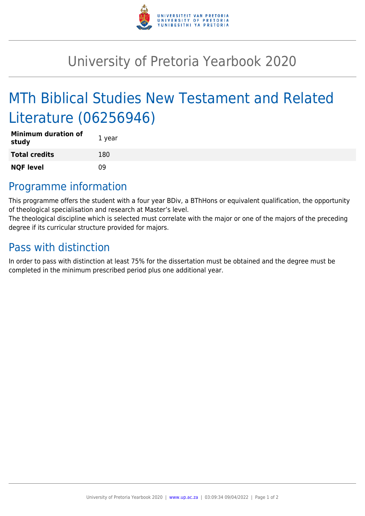

## University of Pretoria Yearbook 2020

# MTh Biblical Studies New Testament and Related Literature (06256946)

| <b>Minimum duration of</b><br>study | 1 year |
|-------------------------------------|--------|
| <b>Total credits</b>                | 180    |
| <b>NQF level</b>                    | nq     |

### Programme information

This programme offers the student with a four year BDiv, a BThHons or equivalent qualification, the opportunity of theological specialisation and research at Master's level.

The theological discipline which is selected must correlate with the major or one of the majors of the preceding degree if its curricular structure provided for majors.

### Pass with distinction

In order to pass with distinction at least 75% for the dissertation must be obtained and the degree must be completed in the minimum prescribed period plus one additional year.